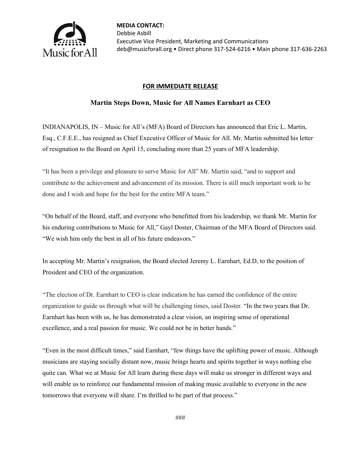

## **FOR IMMEDIATE RELEASE**

## **Martin Steps Down, Music for All Names Earnhart as CEO**

INDIANAPOLIS, IN – Music for All's (MFA) Board of Directors has announced that Eric L. Martin, Esq., C.F.E.E., has resigned as Chief Executive Officer of Music for All. Mr. Martin submitted his letter of resignation to the Board on April 15, concluding more than 25 years of MFA leadership.

"It has been a privilege and pleasure to serve Music for All" Mr. Martin said, "and to support and contribute to the achievement and advancement of its mission. There is still much important work to be done and I wish and hope for the best for the entire MFA team."

"On behalf of the Board, staff, and everyone who benefitted from his leadership, we thank Mr. Martin for his enduring contributions to Music for All," Gayl Doster, Chairman of the MFA Board of Directors said. "We wish him only the best in all of his future endeavors."

In accepting Mr. Martin's resignation, the Board elected Jeremy L. Earnhart, Ed.D, to the position of President and CEO of the organization.

"The election of Dr. Earnhart to CEO is clear indication he has earned the confidence of the entire organization to guide us through what will be challenging times, said Doster. "In the two years that Dr. Earnhart has been with us, he has demonstrated a clear vision, an inspiring sense of operational excellence, and a real passion for music. We could not be in better hands."

"Even in the most difficult times," said Earnhart, "few things have the uplifting power of music. Although musicians are staying socially distant now, music brings hearts and spirits together in ways nothing else quite can. What we at Music for All learn during these days will make us stronger in different ways and will enable us to reinforce our fundamental mission of making music available to everyone in the new tomorrows that everyone will share. I'm thrilled to be part of that process."